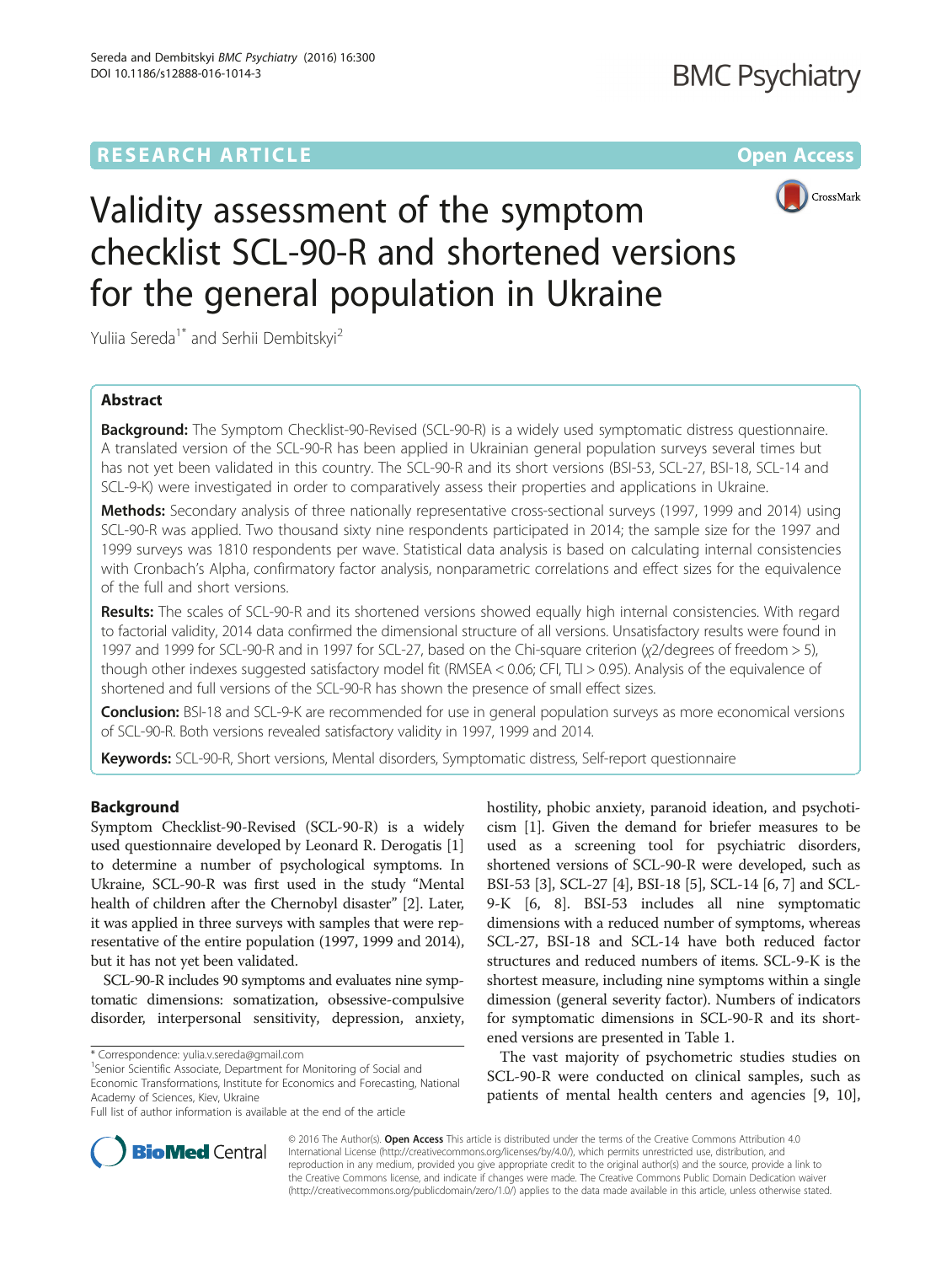# **RESEARCH ARTICLE Example 2014 12:30 The Contract of Contract ACCESS**



# Validity assessment of the symptom checklist SCL-90-R and shortened versions for the general population in Ukraine

Yuliia Sereda<sup>1\*</sup> and Serhii Dembitskyi<sup>2</sup>

# Abstract

**Background:** The Symptom Checklist-90-Revised (SCL-90-R) is a widely used symptomatic distress questionnaire. A translated version of the SCL-90-R has been applied in Ukrainian general population surveys several times but has not yet been validated in this country. The SCL-90-R and its short versions (BSI-53, SCL-27, BSI-18, SCL-14 and SCL-9-K) were investigated in order to comparatively assess their properties and applications in Ukraine.

Methods: Secondary analysis of three nationally representative cross-sectional surveys (1997, 1999 and 2014) using SCL-90-R was applied. Two thousand sixty nine respondents participated in 2014; the sample size for the 1997 and 1999 surveys was 1810 respondents per wave. Statistical data analysis is based on calculating internal consistencies with Cronbach's Alpha, confirmatory factor analysis, nonparametric correlations and effect sizes for the equivalence of the full and short versions.

Results: The scales of SCL-90-R and its shortened versions showed equally high internal consistencies. With regard to factorial validity, 2014 data confirmed the dimensional structure of all versions. Unsatisfactory results were found in 1997 and 1999 for SCL-90-R and in 1997 for SCL-27, based on the Chi-square criterion (χ2/degrees of freedom > 5), though other indexes suggested satisfactory model fit (RMSEA < 0.06; CFI, TLI > 0.95). Analysis of the equivalence of shortened and full versions of the SCL-90-R has shown the presence of small effect sizes.

Conclusion: BSI-18 and SCL-9-K are recommended for use in general population surveys as more economical versions of SCL-90-R. Both versions revealed satisfactory validity in 1997, 1999 and 2014.

Keywords: SCL-90-R, Short versions, Mental disorders, Symptomatic distress, Self-report questionnaire

# Background

Symptom Checklist-90-Revised (SCL-90-R) is a widely used questionnaire developed by Leonard R. Derogatis [[1](#page-10-0)] to determine a number of psychological symptoms. In Ukraine, SCL-90-R was first used in the study "Mental health of children after the Chernobyl disaster" [[2\]](#page-10-0). Later, it was applied in three surveys with samples that were representative of the entire population (1997, 1999 and 2014), but it has not yet been validated.

SCL-90-R includes 90 symptoms and evaluates nine symptomatic dimensions: somatization, obsessive-compulsive disorder, interpersonal sensitivity, depression, anxiety,

<sup>1</sup>Senior Scientific Associate, Department for Monitoring of Social and Economic Transformations, Institute for Economics and Forecasting, National Academy of Sciences, Kiev, Ukraine

hostility, phobic anxiety, paranoid ideation, and psychoticism [\[1\]](#page-10-0). Given the demand for briefer measures to be used as a screening tool for psychiatric disorders, shortened versions of SCL-90-R were developed, such as BSI-53 [[3](#page-10-0)], SCL-27 [\[4](#page-10-0)], BSI-18 [[5](#page-10-0)], SCL-14 [\[6](#page-10-0), [7\]](#page-10-0) and SCL-9-K [\[6](#page-10-0), [8\]](#page-10-0). BSI-53 includes all nine symptomatic dimensions with a reduced number of symptoms, whereas SCL-27, BSI-18 and SCL-14 have both reduced factor structures and reduced numbers of items. SCL-9-K is the shortest measure, including nine symptoms within a single dimession (general severity factor). Numbers of indicators for symptomatic dimensions in SCL-90-R and its shortened versions are presented in Table [1.](#page-1-0)

The vast majority of psychometric studies studies on SCL-90-R were conducted on clinical samples, such as patients of mental health centers and agencies [[9, 10](#page-10-0)],



© 2016 The Author(s). Open Access This article is distributed under the terms of the Creative Commons Attribution 4.0 International License [\(http://creativecommons.org/licenses/by/4.0/](http://creativecommons.org/licenses/by/4.0/)), which permits unrestricted use, distribution, and reproduction in any medium, provided you give appropriate credit to the original author(s) and the source, provide a link to the Creative Commons license, and indicate if changes were made. The Creative Commons Public Domain Dedication waiver [\(http://creativecommons.org/publicdomain/zero/1.0/](http://creativecommons.org/publicdomain/zero/1.0/)) applies to the data made available in this article, unless otherwise stated.

<sup>\*</sup> Correspondence: [yulia.v.sereda@gmail.com](mailto:yulia.v.sereda@gmail.com) <sup>1</sup>

Full list of author information is available at the end of the article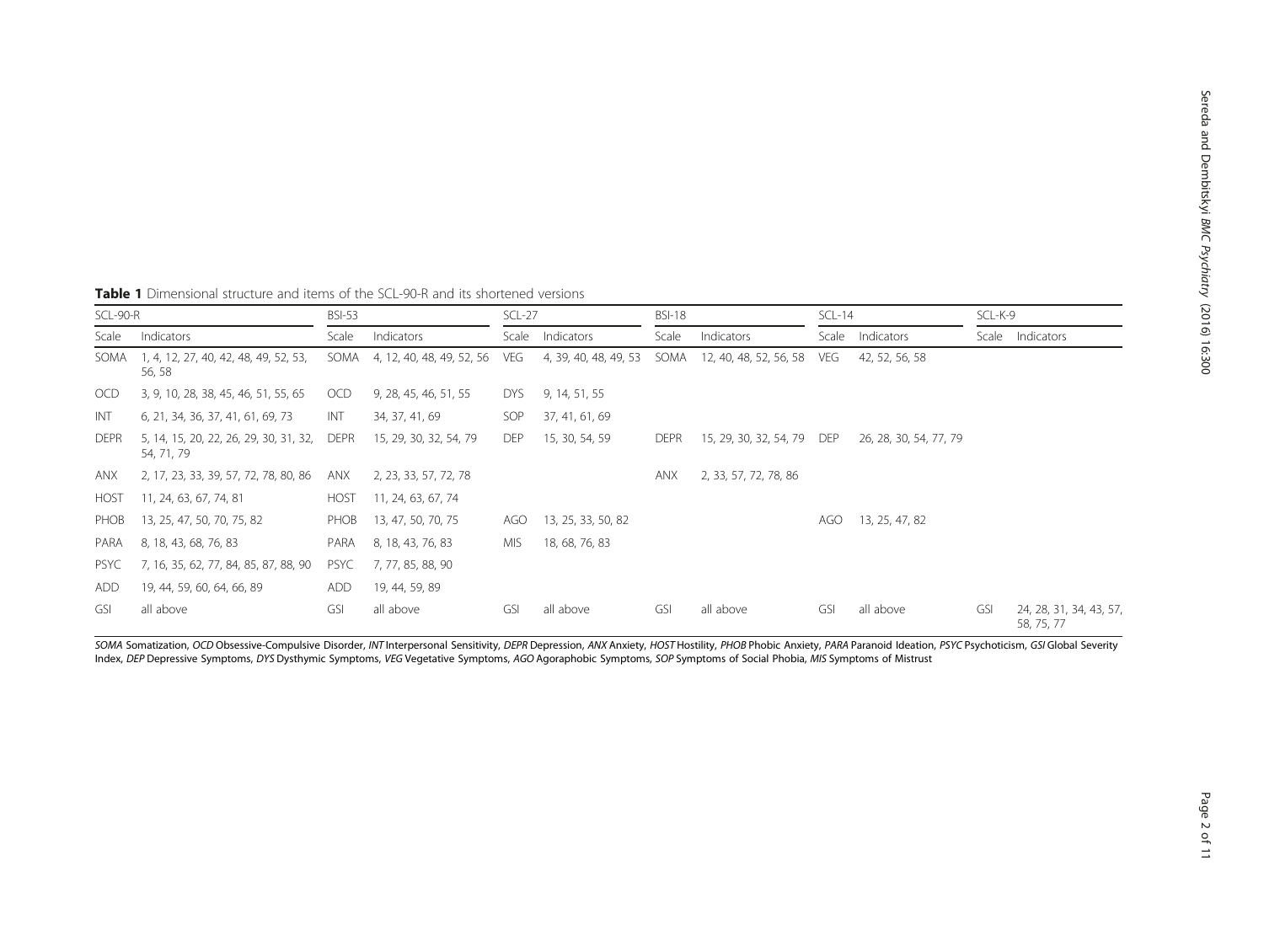| SCL-90-R            |                                                           | <b>BSI-53</b> |                           | $SCL-27$   |                       | <b>BSI-18</b> |                             | $SCL-14$   |                        | SCL-K-9 |                                       |
|---------------------|-----------------------------------------------------------|---------------|---------------------------|------------|-----------------------|---------------|-----------------------------|------------|------------------------|---------|---------------------------------------|
| Indicators<br>Scale |                                                           | Scale         | Indicators                | Scale      | Indicators            | Scale         | Indicators                  |            | Scale Indicators       |         | Scale Indicators                      |
| SOMA                | 1, 4, 12, 27, 40, 42, 48, 49, 52, 53,<br>56, 58           | SOMA          | 4, 12, 40, 48, 49, 52, 56 | VEG        | 4, 39, 40, 48, 49, 53 |               | SOMA 12, 40, 48, 52, 56, 58 | veg        | 42, 52, 56, 58         |         |                                       |
| OCD                 | 3, 9, 10, 28, 38, 45, 46, 51, 55, 65                      | OCD           | 9, 28, 45, 46, 51, 55     | DYS.       | 9, 14, 51, 55         |               |                             |            |                        |         |                                       |
| INT                 | 6, 21, 34, 36, 37, 41, 61, 69, 73                         | INT           | 34, 37, 41, 69            | SOP        | 37, 41, 61, 69        |               |                             |            |                        |         |                                       |
| <b>DEPR</b>         | 5, 14, 15, 20, 22, 26, 29, 30, 31, 32, DEPR<br>54, 71, 79 |               | 15, 29, 30, 32, 54, 79    | <b>DEP</b> | 15, 30, 54, 59        | <b>DEPR</b>   | 15, 29, 30, 32, 54, 79      | <b>DEP</b> | 26, 28, 30, 54, 77, 79 |         |                                       |
| anx                 | 2, 17, 23, 33, 39, 57, 72, 78, 80, 86                     | anx           | 2, 23, 33, 57, 72, 78     |            |                       | ANX           | 2, 33, 57, 72, 78, 86       |            |                        |         |                                       |
| <b>HOST</b>         | 11, 24, 63, 67, 74, 81                                    | <b>HOST</b>   | 11, 24, 63, 67, 74        |            |                       |               |                             |            |                        |         |                                       |
| PHOB                | 13, 25, 47, 50, 70, 75, 82                                | PHOB          | 13, 47, 50, 70, 75        | AGO        | 13, 25, 33, 50, 82    |               |                             | AGO        | 13, 25, 47, 82         |         |                                       |
| PARA                | 8, 18, 43, 68, 76, 83                                     | PARA          | 8, 18, 43, 76, 83         | MIS.       | 18, 68, 76, 83        |               |                             |            |                        |         |                                       |
| PSYC                | 7, 16, 35, 62, 77, 84, 85, 87, 88, 90                     | <b>PSYC</b>   | 7, 77, 85, 88, 90         |            |                       |               |                             |            |                        |         |                                       |
| ADD                 | 19, 44, 59, 60, 64, 66, 89                                | ADD           | 19, 44, 59, 89            |            |                       |               |                             |            |                        |         |                                       |
| GSI                 | all above                                                 | GSI           | all above                 | GSI        | all above             | GSI           | all above                   | GSI        | all above              | GSI     | 24, 28, 31, 34, 43, 57,<br>58, 75, 77 |

<span id="page-1-0"></span>Table 1 Dimensional structure and items of the SCL-90-R and its shortened versions

SOMA Somatization, OCD Obsessive-Compulsive Disorder, INT Interpersonal Sensitivity, DEPR Depression, ANX Anxiety, HOST Hostility, PHOB Phobic Anxiety, PARA Paranoid Ideation, PSYC Psychoticism, GSI Global Severity Index, DEP Depressive Symptoms, DYS Dysthymic Symptoms, VEG Vegetative Symptoms, AGO Agoraphobic Symptoms, SOP Symptoms of Social Phobia, MIS Symptoms of Mistrust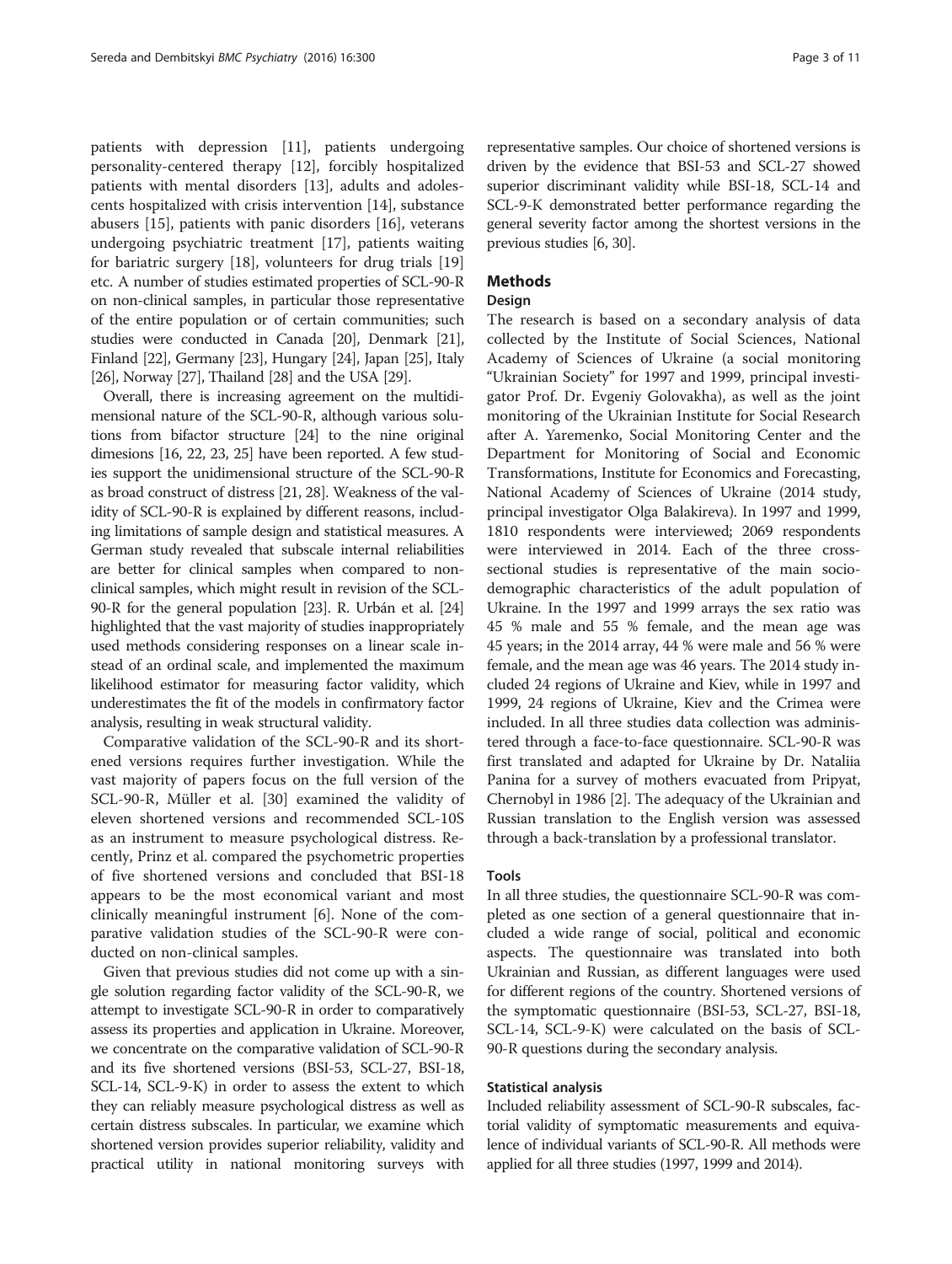patients with depression [\[11](#page-10-0)], patients undergoing personality-centered therapy [[12\]](#page-10-0), forcibly hospitalized patients with mental disorders [\[13](#page-10-0)], adults and adolescents hospitalized with crisis intervention [[14\]](#page-10-0), substance abusers [[15\]](#page-10-0), patients with panic disorders [\[16](#page-10-0)], veterans undergoing psychiatric treatment [\[17\]](#page-10-0), patients waiting for bariatric surgery [[18\]](#page-10-0), volunteers for drug trials [[19](#page-10-0)] etc. A number of studies estimated properties of SCL-90-R on non-clinical samples, in particular those representative of the entire population or of certain communities; such studies were conducted in Canada [[20](#page-10-0)], Denmark [\[21](#page-10-0)], Finland [\[22\]](#page-10-0), Germany [[23](#page-10-0)], Hungary [[24](#page-10-0)], Japan [[25](#page-10-0)], Italy [[26](#page-10-0)], Norway [[27](#page-10-0)], Thailand [\[28\]](#page-10-0) and the USA [[29](#page-10-0)].

Overall, there is increasing agreement on the multidimensional nature of the SCL-90-R, although various solutions from bifactor structure [\[24\]](#page-10-0) to the nine original dimesions [\[16, 22, 23](#page-10-0), [25\]](#page-10-0) have been reported. A few studies support the unidimensional structure of the SCL-90-R as broad construct of distress [\[21, 28\]](#page-10-0). Weakness of the validity of SCL-90-R is explained by different reasons, including limitations of sample design and statistical measures. A German study revealed that subscale internal reliabilities are better for clinical samples when compared to nonclinical samples, which might result in revision of the SCL-90-R for the general population [\[23\]](#page-10-0). R. Urbán et al. [\[24](#page-10-0)] highlighted that the vast majority of studies inappropriately used methods considering responses on a linear scale instead of an ordinal scale, and implemented the maximum likelihood estimator for measuring factor validity, which underestimates the fit of the models in confirmatory factor analysis, resulting in weak structural validity.

Comparative validation of the SCL-90-R and its shortened versions requires further investigation. While the vast majority of papers focus on the full version of the SCL-90-R, Müller et al. [\[30](#page-10-0)] examined the validity of eleven shortened versions and recommended SCL-10S as an instrument to measure psychological distress. Recently, Prinz et al. compared the psychometric properties of five shortened versions and concluded that BSI-18 appears to be the most economical variant and most clinically meaningful instrument [\[6\]](#page-10-0). None of the comparative validation studies of the SCL-90-R were conducted on non-clinical samples.

Given that previous studies did not come up with a single solution regarding factor validity of the SCL-90-R, we attempt to investigate SCL-90-R in order to comparatively assess its properties and application in Ukraine. Moreover, we concentrate on the comparative validation of SCL-90-R and its five shortened versions (BSI-53, SCL-27, BSI-18, SCL-14, SCL-9-K) in order to assess the extent to which they can reliably measure psychological distress as well as certain distress subscales. In particular, we examine which shortened version provides superior reliability, validity and practical utility in national monitoring surveys with

representative samples. Our choice of shortened versions is driven by the evidence that BSI-53 and SCL-27 showed superior discriminant validity while BSI-18, SCL-14 and SCL-9-K demonstrated better performance regarding the general severity factor among the shortest versions in the previous studies [[6](#page-10-0), [30\]](#page-10-0).

# Methods

# Design

The research is based on a secondary analysis of data collected by the Institute of Social Sciences, National Academy of Sciences of Ukraine (a social monitoring "Ukrainian Society" for 1997 and 1999, principal investigator Prof. Dr. Evgeniy Golovakha), as well as the joint monitoring of the Ukrainian Institute for Social Research after A. Yaremenko, Social Monitoring Center and the Department for Monitoring of Social and Economic Transformations, Institute for Economics and Forecasting, National Academy of Sciences of Ukraine (2014 study, principal investigator Olga Balakireva). In 1997 and 1999, 1810 respondents were interviewed; 2069 respondents were interviewed in 2014. Each of the three crosssectional studies is representative of the main sociodemographic characteristics of the adult population of Ukraine. In the 1997 and 1999 arrays the sex ratio was 45 % male and 55 % female, and the mean age was 45 years; in the 2014 array, 44 % were male and 56 % were female, and the mean age was 46 years. The 2014 study included 24 regions of Ukraine and Kiev, while in 1997 and 1999, 24 regions of Ukraine, Kiev and the Crimea were included. In all three studies data collection was administered through a face-to-face questionnaire. SCL-90-R was first translated and adapted for Ukraine by Dr. Nataliia Panina for a survey of mothers evacuated from Pripyat, Chernobyl in 1986 [[2\]](#page-10-0). The adequacy of the Ukrainian and Russian translation to the English version was assessed through a back-translation by a professional translator.

# Tools

In all three studies, the questionnaire SCL-90-R was completed as one section of a general questionnaire that included a wide range of social, political and economic aspects. The questionnaire was translated into both Ukrainian and Russian, as different languages were used for different regions of the country. Shortened versions of the symptomatic questionnaire (BSI-53, SCL-27, BSI-18, SCL-14, SCL-9-K) were calculated on the basis of SCL-90-R questions during the secondary analysis.

# Statistical analysis

Included reliability assessment of SCL-90-R subscales, factorial validity of symptomatic measurements and equivalence of individual variants of SCL-90-R. All methods were applied for all three studies (1997, 1999 and 2014).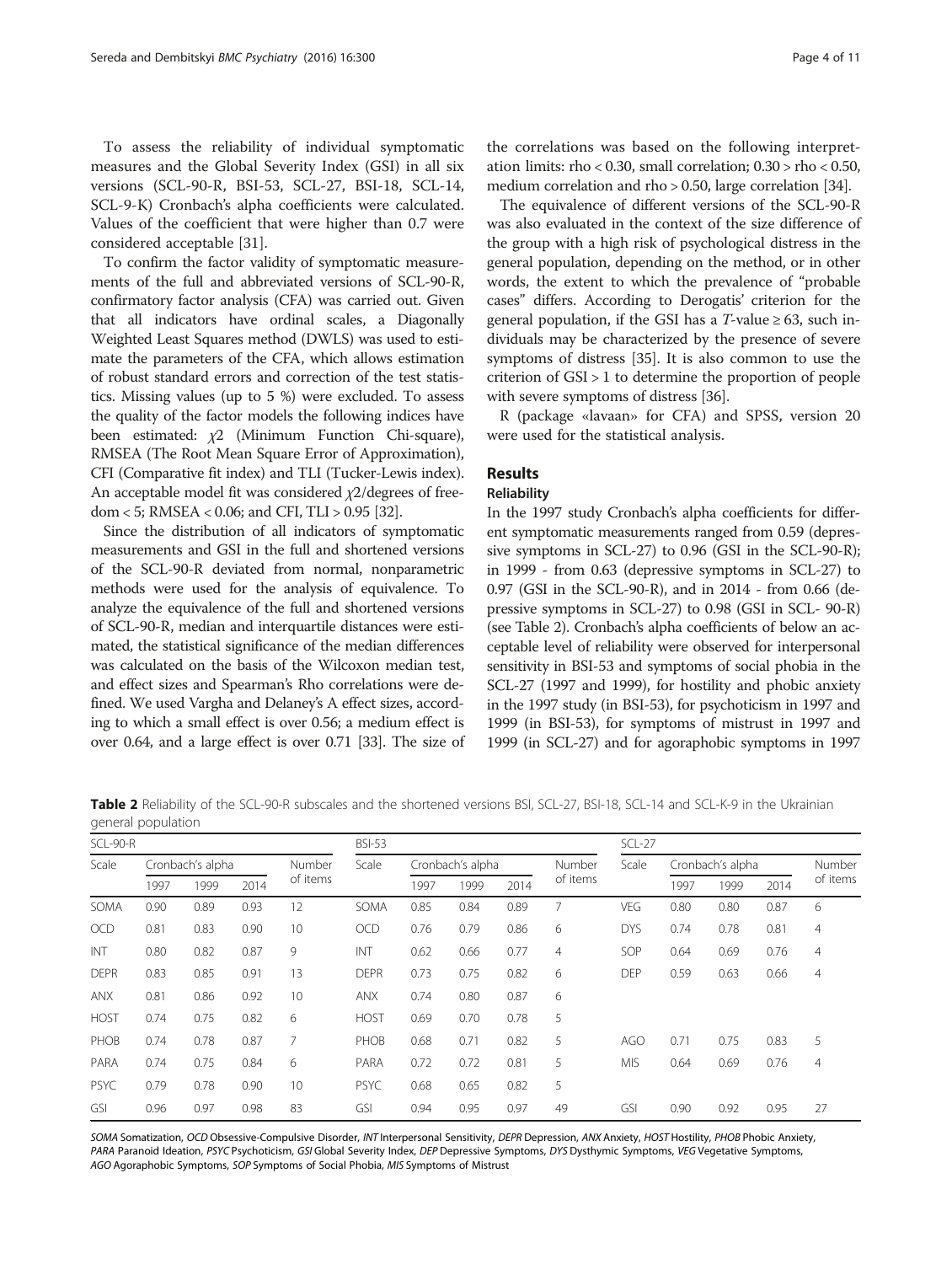To assess the reliability of individual symptomatic measures and the Global Severity Index (GSI) in all six versions (SCL-90-R, BSI-53, SCL-27, BSI-18, SCL-14, SCL-9-K) Cronbach's alpha coefficients were calculated. Values of the coefficient that were higher than 0.7 were considered acceptable [\[31](#page-10-0)].

To confirm the factor validity of symptomatic measurements of the full and abbreviated versions of SCL-90-R, confirmatory factor analysis (CFA) was carried out. Given that all indicators have ordinal scales, a Diagonally Weighted Least Squares method (DWLS) was used to estimate the parameters of the CFA, which allows estimation of robust standard errors and correction of the test statistics. Missing values (up to 5 %) were excluded. To assess the quality of the factor models the following indices have been estimated:  $\chi$ 2 (Minimum Function Chi-square), RMSEA (The Root Mean Square Error of Approximation), CFI (Comparative fit index) and TLI (Tucker-Lewis index). An acceptable model fit was considered χ2/degrees of freedom < 5; RMSEA < 0.06; and CFI, TLI > 0.95 [\[32\]](#page-10-0).

Since the distribution of all indicators of symptomatic measurements and GSI in the full and shortened versions of the SCL-90-R deviated from normal, nonparametric methods were used for the analysis of equivalence. To analyze the equivalence of the full and shortened versions of SCL-90-R, median and interquartile distances were estimated, the statistical significance of the median differences was calculated on the basis of the Wilcoxon median test, and effect sizes and Spearman's Rho correlations were defined. We used Vargha and Delaney's A effect sizes, according to which a small effect is over 0.56; a medium effect is over 0.64, and a large effect is over 0.71 [\[33](#page-10-0)]. The size of

the correlations was based on the following interpretation limits: rho < 0.30, small correlation; 0.30 > rho < 0.50, medium correlation and rho > 0.50, large correlation [\[34\]](#page-10-0).

The equivalence of different versions of the SCL-90-R was also evaluated in the context of the size difference of the group with a high risk of psychological distress in the general population, depending on the method, or in other words, the extent to which the prevalence of "probable cases" differs. According to Derogatis' criterion for the general population, if the GSI has a  $T$ -value  $\geq 63$ , such individuals may be characterized by the presence of severe symptoms of distress [\[35\]](#page-10-0). It is also common to use the criterion of GSI > 1 to determine the proportion of people with severe symptoms of distress [[36](#page-10-0)].

R (package «lavaan» for CFA) and SPSS, version 20 were used for the statistical analysis.

# Results

# **Reliability**

In the 1997 study Cronbach's alpha coefficients for different symptomatic measurements ranged from 0.59 (depressive symptoms in SCL-27) to 0.96 (GSI in the SCL-90-R); in 1999 - from 0.63 (depressive symptoms in SCL-27) to 0.97 (GSI in the SCL-90-R), and in 2014 - from 0.66 (depressive symptoms in SCL-27) to 0.98 (GSI in SCL- 90-R) (see Table 2). Cronbach's alpha coefficients of below an acceptable level of reliability were observed for interpersonal sensitivity in BSI-53 and symptoms of social phobia in the SCL-27 (1997 and 1999), for hostility and phobic anxiety in the 1997 study (in BSI-53), for psychoticism in 1997 and 1999 (in BSI-53), for symptoms of mistrust in 1997 and 1999 (in SCL-27) and for agoraphobic symptoms in 1997

Table 2 Reliability of the SCL-90-R subscales and the shortened versions BSI, SCL-27, BSI-18, SCL-14 and SCL-K-9 in the Ukrainian general population

| SCL-90-R    |                  |      |      |                | <b>BSI-53</b> |      |                  |      |                | $SCL-27$   |                  |        |      |                |  |  |
|-------------|------------------|------|------|----------------|---------------|------|------------------|------|----------------|------------|------------------|--------|------|----------------|--|--|
| Scale       | Cronbach's alpha |      |      | Number         | Scale         |      | Cronbach's alpha |      | Number         | Scale      | Cronbach's alpha | Number |      |                |  |  |
|             | 1997             | 1999 | 2014 | of items       |               | 1997 | 1999             | 2014 | of items       |            | 1997             | 1999   | 2014 | of items       |  |  |
| SOMA        | 0.90             | 0.89 | 0.93 | 12             | SOMA          | 0.85 | 0.84             | 0.89 | 7              | <b>VEG</b> | 0.80             | 0.80   | 0.87 | 6              |  |  |
| <b>OCD</b>  | 0.81             | 0.83 | 0.90 | 10             | <b>OCD</b>    | 0.76 | 0.79             | 0.86 | 6              | <b>DYS</b> | 0.74             | 0.78   | 0.81 | $\overline{4}$ |  |  |
| INT         | 0.80             | 0.82 | 0.87 | 9              | INT           | 0.62 | 0.66             | 0.77 | $\overline{4}$ | SOP        | 0.64             | 0.69   | 0.76 | $\overline{4}$ |  |  |
| <b>DEPR</b> | 0.83             | 0.85 | 0.91 | 13             | <b>DEPR</b>   | 0.73 | 0.75             | 0.82 | 6              | <b>DEP</b> | 0.59             | 0.63   | 0.66 | $\overline{4}$ |  |  |
| <b>ANX</b>  | 0.81             | 0.86 | 0.92 | 10             | <b>ANX</b>    | 0.74 | 0.80             | 0.87 | 6              |            |                  |        |      |                |  |  |
| <b>HOST</b> | 0.74             | 0.75 | 0.82 | 6              | <b>HOST</b>   | 0.69 | 0.70             | 0.78 | 5              |            |                  |        |      |                |  |  |
| PHOB        | 0.74             | 0.78 | 0.87 | $\overline{7}$ | PHOB          | 0.68 | 0.71             | 0.82 | 5              | AGO        | 0.71             | 0.75   | 0.83 | 5              |  |  |
| PARA        | 0.74             | 0.75 | 0.84 | 6              | PARA          | 0.72 | 0.72             | 0.81 | 5              | <b>MIS</b> | 0.64             | 0.69   | 0.76 | $\overline{4}$ |  |  |
| <b>PSYC</b> | 0.79             | 0.78 | 0.90 | 10             | <b>PSYC</b>   | 0.68 | 0.65             | 0.82 | 5              |            |                  |        |      |                |  |  |
| <b>GSI</b>  | 0.96             | 0.97 | 0.98 | 83             | GSI           | 0.94 | 0.95             | 0.97 | 49             | GSI        | 0.90             | 0.92   | 0.95 | 27             |  |  |

SOMA Somatization, OCD Obsessive-Compulsive Disorder, INT Interpersonal Sensitivity, DEPR Depression, ANX Anxiety, HOST Hostility, PHOB Phobic Anxiety, PARA Paranoid Ideation, PSYC Psychoticism, GSI Global Severity Index, DEP Depressive Symptoms, DYS Dysthymic Symptoms, VEG Vegetative Symptoms, AGO Agoraphobic Symptoms, SOP Symptoms of Social Phobia, MIS Symptoms of Mistrust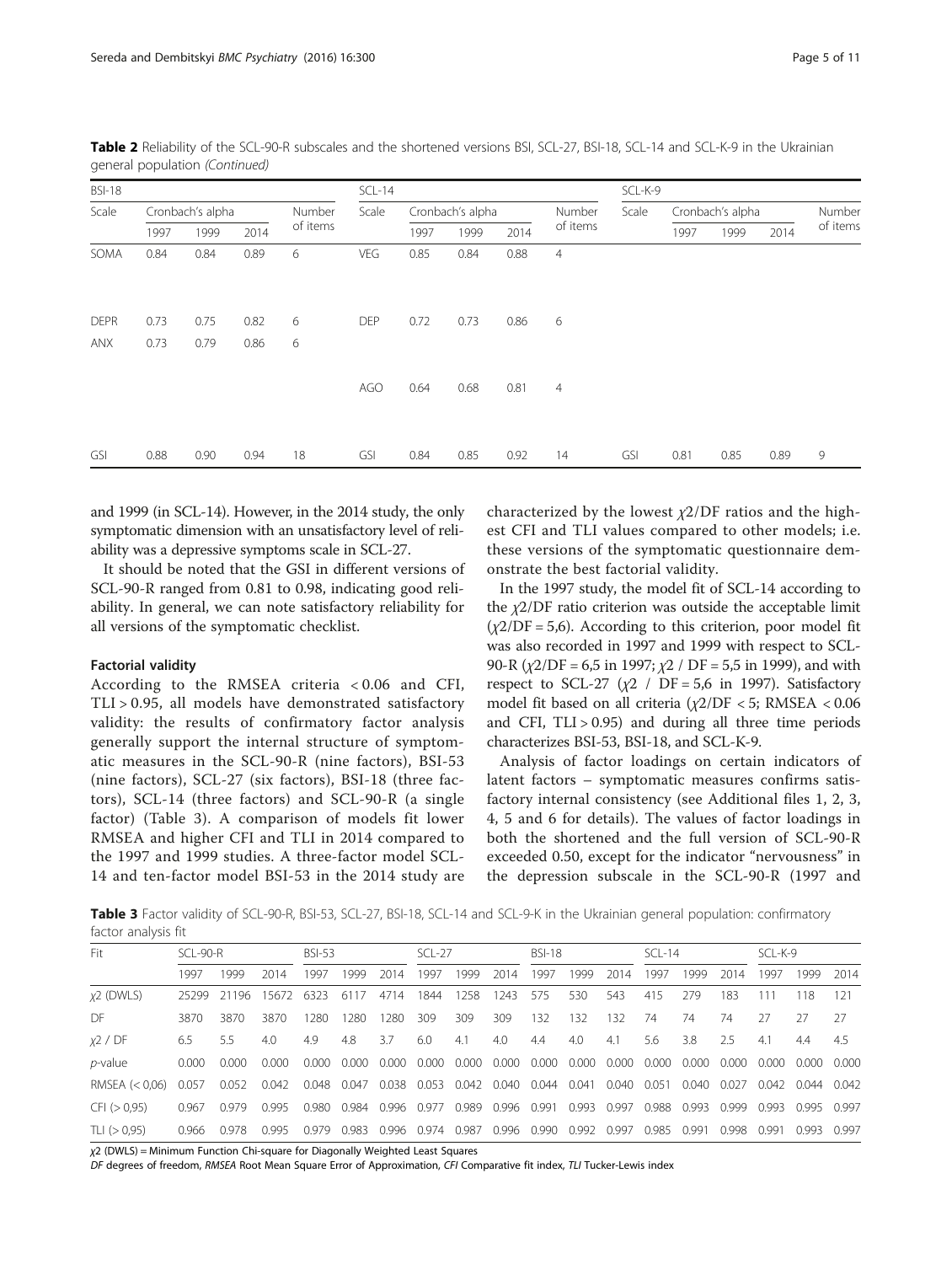| <b>BSI-18</b>             |                  |              |              |          | $SCL-14$   |      |                  |      |                | SCL-K-9 |                  |        |      |          |  |  |  |
|---------------------------|------------------|--------------|--------------|----------|------------|------|------------------|------|----------------|---------|------------------|--------|------|----------|--|--|--|
| Scale                     | Cronbach's alpha |              |              | Number   | Scale      |      | Cronbach's alpha |      | Number         | Scale   | Cronbach's alpha | Number |      |          |  |  |  |
|                           | 1997             | 1999         | 2014         | of items |            | 1997 | 1999             | 2014 | of items       |         | 1997             | 1999   | 2014 | of items |  |  |  |
| SOMA                      | 0.84             | 0.84         | 0.89         | 6        | <b>VEG</b> | 0.85 | 0.84             | 0.88 | $\overline{4}$ |         |                  |        |      |          |  |  |  |
| <b>DEPR</b><br><b>ANX</b> | 0.73<br>0.73     | 0.75<br>0.79 | 0.82<br>0.86 | 6<br>6   | <b>DEP</b> | 0.72 | 0.73             | 0.86 | 6              |         |                  |        |      |          |  |  |  |
|                           |                  |              |              |          | AGO        | 0.64 | 0.68             | 0.81 | $\overline{4}$ |         |                  |        |      |          |  |  |  |
| GSI                       | 0.88             | 0.90         | 0.94         | 18       | GSI        | 0.84 | 0.85             | 0.92 | 14             | GSI     | 0.81             | 0.85   | 0.89 | 9        |  |  |  |

Table 2 Reliability of the SCL-90-R subscales and the shortened versions BSI, SCL-27, BSI-18, SCL-14 and SCL-K-9 in the Ukrainian general population (Continued)

and 1999 (in SCL-14). However, in the 2014 study, the only symptomatic dimension with an unsatisfactory level of reliability was a depressive symptoms scale in SCL-27.

It should be noted that the GSI in different versions of SCL-90-R ranged from 0.81 to 0.98, indicating good reliability. In general, we can note satisfactory reliability for all versions of the symptomatic checklist.

# Factorial validity

According to the RMSEA criteria < 0.06 and CFI, TLI > 0.95, all models have demonstrated satisfactory validity: the results of confirmatory factor analysis generally support the internal structure of symptomatic measures in the SCL-90-R (nine factors), BSI-53 (nine factors), SCL-27 (six factors), BSI-18 (three factors), SCL-14 (three factors) and SCL-90-R (a single factor) (Table 3). A comparison of models fit lower RMSEA and higher CFI and TLI in 2014 compared to the 1997 and 1999 studies. A three-factor model SCL-14 and ten-factor model BSI-53 in the 2014 study are characterized by the lowest  $\chi$ 2/DF ratios and the highest CFI and TLI values compared to other models; i.e. these versions of the symptomatic questionnaire demonstrate the best factorial validity.

In the 1997 study, the model fit of SCL-14 according to the  $\chi$ 2/DF ratio criterion was outside the acceptable limit  $(\chi2/DF = 5.6)$ . According to this criterion, poor model fit was also recorded in 1997 and 1999 with respect to SCL-90-R  $(y2/DF = 6.5$  in 1997;  $y2 / DF = 5.5$  in 1999), and with respect to SCL-27 ( $\chi$ 2 / DF = 5,6 in 1997). Satisfactory model fit based on all criteria  $(\chi2/DF < 5;$  RMSEA  $< 0.06$ and CFI,  $TLI > 0.95$ ) and during all three time periods characterizes BSI-53, BSI-18, and SCL-K-9.

Analysis of factor loadings on certain indicators of latent factors – symptomatic measures confirms satisfactory internal consistency (see Additional files [1](#page-9-0), [2, 3](#page-9-0), [4, 5](#page-9-0) and [6](#page-9-0) for details). The values of factor loadings in both the shortened and the full version of SCL-90-R exceeded 0.50, except for the indicator "nervousness" in the depression subscale in the SCL-90-R (1997 and

Table 3 Factor validity of SCL-90-R, BSI-53, SCL-27, BSI-18, SCL-14 and SCL-9-K in the Ukrainian general population: confirmatory factor analysis fit

| Fit              | $SCI - 90-R$ |       |       | <b>BSI-53</b> |             |       | $SCI - 27$                          |       |       | <b>BSI-18</b> |       |       | $SCI - 14$ |       |       | SCL-K-9 |       |       |
|------------------|--------------|-------|-------|---------------|-------------|-------|-------------------------------------|-------|-------|---------------|-------|-------|------------|-------|-------|---------|-------|-------|
|                  | 1997         | 1999  | 2014  | 1997          | 1999        | 2014  | 1997                                | 1999  | 2014  | 1997          | 1999  | 2014  | 1997       | 1999  | 2014  | 1997    | 1999  | 2014  |
| $x2$ (DWLS)      | 25299        | 21196 | 15672 | 6323          | 6117        | 4714  | 1844                                | 1258  | 1243  | 575           | 530   | 543   | 415        | 279   | 183   | 111     | 118   | -121  |
| DF.              | 3870         | 3870  | 3870  | 1280          | 1280        | 1280  | 309                                 | 309   | 309   | 132           | 132   | 132   | 74         | 74    | 74    | 27      |       | - 27  |
| x2 / DF          | 6.5          | 55    | 4.0   | 4.9           | 4.8         | 3.7   | 6.0                                 | 4.1   | 4.0   | 4.4           | 4.0   | 4.1   | 5.6        | 3.8   | 2.5   | 4.1     | 4.4   | 4.5   |
| $p$ -value       | 0.000        | 0.000 | 0.000 | 0.000         | 0.000       | 0.000 | 0.000                               | 0.000 | 0.000 | 0.000         | 0.000 | 0.000 | 0.000      | 0.000 | 0.000 | 0.000   | 0.000 | 0.000 |
| RMSEA $(< 0.06)$ | 0.057        | 0.052 | 0.042 |               | 0.048 0.047 |       | 0.038 0.053 0.042 0.040 0.044 0.041 |       |       |               |       | 0.040 | 0.051      | 0.040 | 0.027 | 0.042   | 0.044 | 0.042 |
| CFI ( > 0.95)    | 0967         | 0.979 | O 995 | O 980         | 0.984       | 0.996 | 0.977                               | 0.989 | 0.996 | 0.991         | 0.993 | 0.997 | 0.988      | 0.993 | O 999 | 0.993   | 0.995 | በ 997 |
| TLI $(> 0.95)$   | 0.966        | 0.978 | 0995  | 0.979         | 0.983       | 0.996 | 0.974                               | 0.987 | 0.996 | 0.990         | 0.992 | 0.997 | 0.985      | 0.991 | 0.998 | O 991   | 0.993 | 0.997 |

 $x^2$  (DWLS) = Minimum Function Chi-square for Diagonally Weighted Least Squares

DF degrees of freedom, RMSEA Root Mean Square Error of Approximation, CFI Comparative fit index, TLI Tucker-Lewis index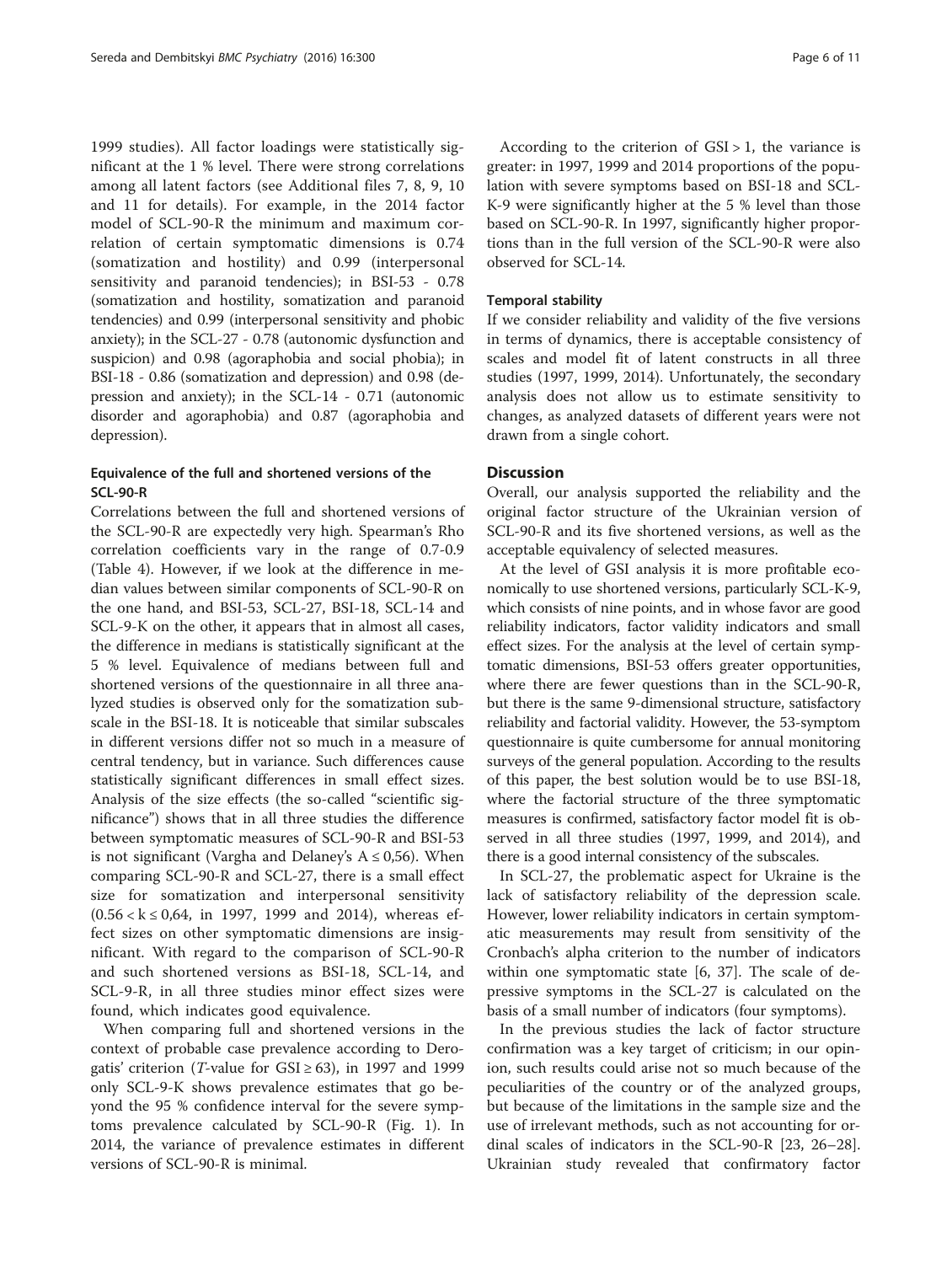1999 studies). All factor loadings were statistically significant at the 1 % level. There were strong correlations among all latent factors (see Additional files [7](#page-9-0), [8, 9, 10](#page-9-0) and [11](#page-9-0) for details). For example, in the 2014 factor model of SCL-90-R the minimum and maximum correlation of certain symptomatic dimensions is 0.74 (somatization and hostility) and 0.99 (interpersonal sensitivity and paranoid tendencies); in BSI-53 - 0.78 (somatization and hostility, somatization and paranoid tendencies) and 0.99 (interpersonal sensitivity and phobic anxiety); in the SCL-27 - 0.78 (autonomic dysfunction and suspicion) and 0.98 (agoraphobia and social phobia); in BSI-18 - 0.86 (somatization and depression) and 0.98 (depression and anxiety); in the SCL-14 - 0.71 (autonomic disorder and agoraphobia) and 0.87 (agoraphobia and depression).

# Equivalence of the full and shortened versions of the SCL-90-R

Correlations between the full and shortened versions of the SCL-90-R are expectedly very high. Spearman's Rho correlation coefficients vary in the range of 0.7-0.9 (Table [4](#page-6-0)). However, if we look at the difference in median values between similar components of SCL-90-R on the one hand, and BSI-53, SCL-27, BSI-18, SCL-14 and SCL-9-K on the other, it appears that in almost all cases, the difference in medians is statistically significant at the 5 % level. Equivalence of medians between full and shortened versions of the questionnaire in all three analyzed studies is observed only for the somatization subscale in the BSI-18. It is noticeable that similar subscales in different versions differ not so much in a measure of central tendency, but in variance. Such differences cause statistically significant differences in small effect sizes. Analysis of the size effects (the so-called "scientific significance") shows that in all three studies the difference between symptomatic measures of SCL-90-R and BSI-53 is not significant (Vargha and Delaney's  $A \le 0.56$ ). When comparing SCL-90-R and SCL-27, there is a small effect size for somatization and interpersonal sensitivity  $(0.56 < k \le 0.64$ , in 1997, 1999 and 2014), whereas effect sizes on other symptomatic dimensions are insignificant. With regard to the comparison of SCL-90-R and such shortened versions as BSI-18, SCL-14, and SCL-9-R, in all three studies minor effect sizes were found, which indicates good equivalence.

When comparing full and shortened versions in the context of probable case prevalence according to Derogatis' criterion (*T*-value for  $GSI \ge 63$ ), in 1997 and 1999 only SCL-9-K shows prevalence estimates that go beyond the 95 % confidence interval for the severe symptoms prevalence calculated by SCL-90-R (Fig. [1](#page-8-0)). In 2014, the variance of prevalence estimates in different versions of SCL-90-R is minimal.

According to the criterion of GSI > 1, the variance is greater: in 1997, 1999 and 2014 proportions of the population with severe symptoms based on BSI-18 and SCL-K-9 were significantly higher at the 5 % level than those based on SCL-90-R. In 1997, significantly higher proportions than in the full version of the SCL-90-R were also observed for SCL-14.

# Temporal stability

If we consider reliability and validity of the five versions in terms of dynamics, there is acceptable consistency of scales and model fit of latent constructs in all three studies (1997, 1999, 2014). Unfortunately, the secondary analysis does not allow us to estimate sensitivity to changes, as analyzed datasets of different years were not drawn from a single cohort.

# **Discussion**

Overall, our analysis supported the reliability and the original factor structure of the Ukrainian version of SCL-90-R and its five shortened versions, as well as the acceptable equivalency of selected measures.

At the level of GSI analysis it is more profitable economically to use shortened versions, particularly SCL-K-9, which consists of nine points, and in whose favor are good reliability indicators, factor validity indicators and small effect sizes. For the analysis at the level of certain symptomatic dimensions, BSI-53 offers greater opportunities, where there are fewer questions than in the SCL-90-R, but there is the same 9-dimensional structure, satisfactory reliability and factorial validity. However, the 53-symptom questionnaire is quite cumbersome for annual monitoring surveys of the general population. According to the results of this paper, the best solution would be to use BSI-18, where the factorial structure of the three symptomatic measures is confirmed, satisfactory factor model fit is observed in all three studies (1997, 1999, and 2014), and there is a good internal consistency of the subscales.

In SCL-27, the problematic aspect for Ukraine is the lack of satisfactory reliability of the depression scale. However, lower reliability indicators in certain symptomatic measurements may result from sensitivity of the Cronbach's alpha criterion to the number of indicators within one symptomatic state [[6, 37\]](#page-10-0). The scale of depressive symptoms in the SCL-27 is calculated on the basis of a small number of indicators (four symptoms).

In the previous studies the lack of factor structure confirmation was a key target of criticism; in our opinion, such results could arise not so much because of the peculiarities of the country or of the analyzed groups, but because of the limitations in the sample size and the use of irrelevant methods, such as not accounting for ordinal scales of indicators in the SCL-90-R [\[23](#page-10-0), [26](#page-10-0)–[28](#page-10-0)]. Ukrainian study revealed that confirmatory factor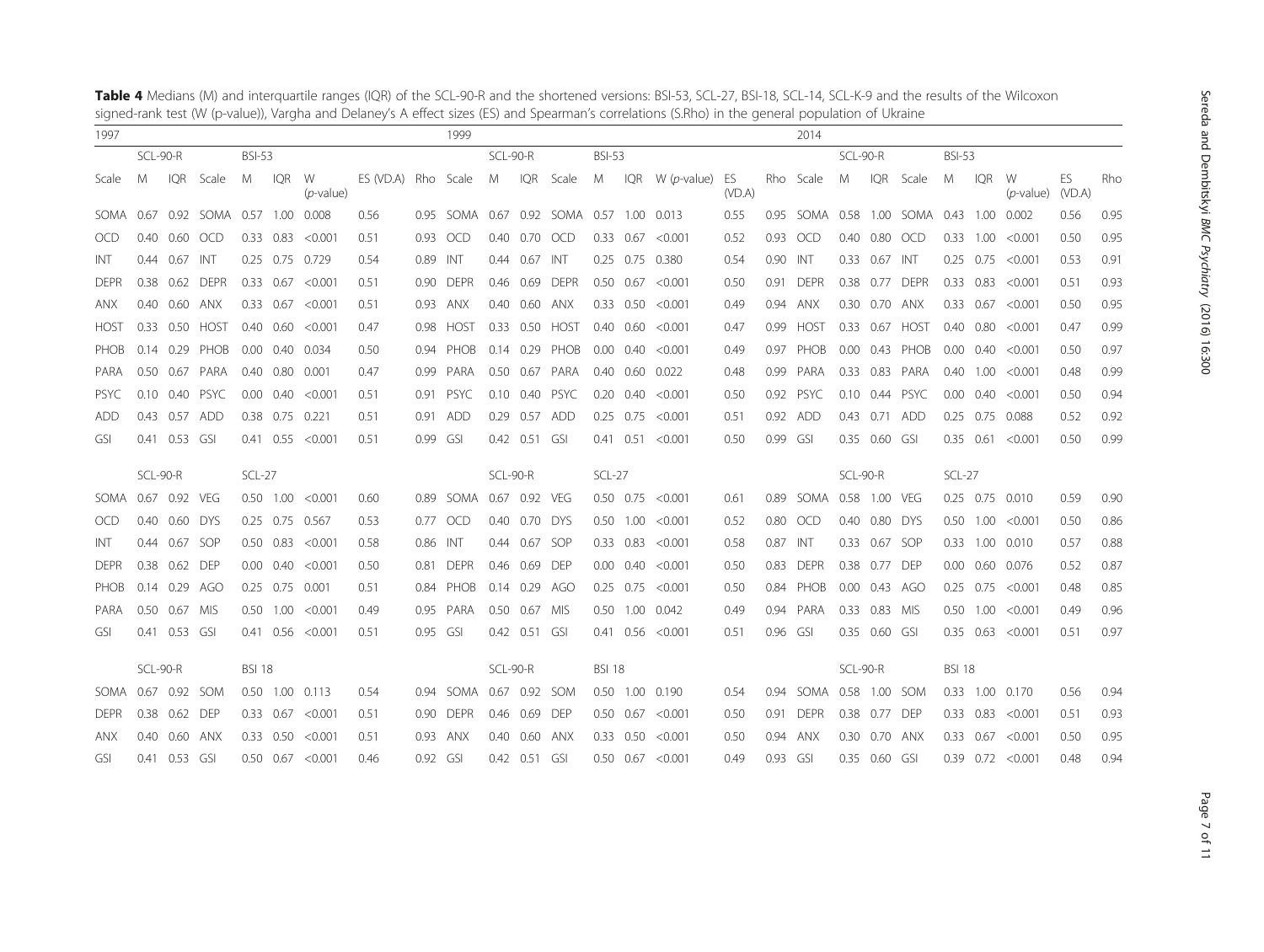| $\overline{\phantom{a}}$<br>1997 |          |                   |                     |                   |                   |                         |                     |                   | 1999        |          |                   |                                          |               |                   |                         |        |      | 2014               |               |               |                          |                   |               |                      |              |      |
|----------------------------------|----------|-------------------|---------------------|-------------------|-------------------|-------------------------|---------------------|-------------------|-------------|----------|-------------------|------------------------------------------|---------------|-------------------|-------------------------|--------|------|--------------------|---------------|---------------|--------------------------|-------------------|---------------|----------------------|--------------|------|
|                                  | SCL-90-R |                   |                     | <b>BSI-53</b>     |                   |                         |                     |                   |             | SCL-90-R |                   |                                          | <b>BSI-53</b> |                   |                         |        |      |                    | SCL-90-R      |               |                          | <b>BSI-53</b>     |               |                      |              |      |
| Scale                            | M        | IQR               | Scale               | M                 | <b>IQR</b>        | W<br>$(p$ -value)       | ES (VD.A) Rho Scale |                   |             | M        | <b>IQR</b>        | Scale                                    | M             |                   | IQR $W(p$ -value) ES    | (VD.A) |      | Rho Scale          | M             | IQR           | Scale                    | M                 | <b>IQR</b>    | W<br>$(p$ -value)    | ES<br>(VD.A) | Rho  |
| SOMA                             | 0.67     |                   | 0.92 SOMA 0.57 1.00 |                   |                   | 0.008                   | 0.56                |                   |             |          |                   | 0.95 SOMA 0.67 0.92 SOMA 0.57 1.00 0.013 |               |                   |                         | 0.55   | 0.95 |                    |               |               | SOMA 0.58 1.00 SOMA 0.43 |                   | 1.00          | 0.002                | 0.56         | 0.95 |
| <b>OCD</b>                       | 0.40     | 0.60              | <b>OCD</b>          |                   | 0.33 0.83         | < 0.001                 | 0.51                | 0.93              | <b>OCD</b>  | 0.40     | 0.70              | <b>OCD</b>                               |               | $0.33$ 0.67       | < 0.001                 | 0.52   | 0.93 | <b>OCD</b>         | 0.40          |               | 0.80 OCD                 |                   | 0.33 1.00     | < 0.001              | 0.50         | 0.95 |
| INT                              |          | 0.44 0.67 INT     |                     |                   |                   | 0.25 0.75 0.729         | 0.54                | 0.89 INT          |             |          | $0.44$ 0.67       | INT                                      |               |                   | 0.25 0.75 0.380         | 0.54   | 0.90 | INT                |               | 0.33 0.67 INT |                          |                   | $0.25$ 0.75   | < 0.001              | 0.53         | 0.91 |
| <b>DEPR</b>                      |          |                   | 0.38 0.62 DEPR      |                   | $0.33 \quad 0.67$ | < 0.001                 | 0.51                | 0.90              | <b>DEPR</b> | 0.46     | 0.69              | <b>DEPR</b>                              |               |                   | $0.50$ $0.67$ <0.001    | 0.50   | 0.91 | <b>DEPR</b>        |               |               | 0.38 0.77 DEPR           |                   | $0.33$ $0.83$ | < 0.001              | 0.51         | 0.93 |
| <b>ANX</b>                       |          | 0.40 0.60 ANX     |                     |                   | $0.33$ 0.67       | < 0.001                 | 0.51                | 0.93              | ANX         |          | $0.40 \quad 0.60$ | anx                                      |               | $0.33 \quad 0.50$ | < 0.001                 | 0.49   | 0.94 | ANX                |               | 0.30 0.70 ANX |                          |                   | 0.33 0.67     | < 0.001              | 0.50         | 0.95 |
| <b>HOST</b>                      |          | $0.33$ 0.50       | <b>HOST</b>         | 0.40              | 0.60              | < 0.001                 | 0.47                | 0.98              | <b>HOST</b> |          | $0.33 \quad 0.50$ | HOST                                     |               | $0.40$ 0.60       | < 0.001                 | 0.47   | 0.99 | <b>HOST</b>        | 0.33          |               | 0.67 HOST                | 0.40              | 0.80          | < 0.001              | 0.47         | 0.99 |
| PHOB                             |          | $0.14$ 0.29       | PHOB                | 0.00 <sub>1</sub> | 0.40              | 0.034                   | 0.50                | 0.94              | PHOB        |          | $0.14$ 0.29       | PHOB                                     |               | $0.00 \quad 0.40$ | < 0.001                 | 0.49   | 0.97 | PHOB               | 0.00          |               | 0.43 PHOB                | 0.00 <sub>1</sub> | 0.40          | < 0.001              | 0.50         | 0.97 |
| PARA                             |          |                   | 0.50 0.67 PARA      |                   | $0.40\quad 0.80$  | 0.001                   | 0.47                | 0.99              | PARA        |          | $0.50 \quad 0.67$ | PARA                                     |               | 0.40 0.60         | 0.022                   | 0.48   | 0.99 | PARA               |               |               | 0.33 0.83 PARA           |                   | $0.40$ 1.00   | < 0.001              | 0.48         | 0.99 |
| <b>PSYC</b>                      |          | $0.10 \quad 0.40$ | <b>PSYC</b>         | 0.00              | 0.40              | < 0.001                 | 0.51                | 0.91              | <b>PSYC</b> | 0.10     | 0.40              | <b>PSYC</b>                              |               | $0.20 \quad 0.40$ | < 0.001                 | 0.50   | 0.92 | <b>PSYC</b>        | 0.10          |               | 0.44 PSYC                | 0.00              | 0.40          | < 0.001              | 0.50         | 0.94 |
| ADD                              |          | 0.43 0.57 ADD     |                     |                   |                   | 0.38 0.75 0.221         | 0.51                | 0.91              | <b>ADD</b>  |          | 0.29 0.57 ADD     |                                          |               | $0.25$ 0.75       | < 0.001                 | 0.51   | 0.92 | ADD                |               |               | 0.43 0.71 ADD            |                   |               | 0.25 0.75 0.088      | 0.52         | 0.92 |
| GSI                              |          | 0.41 0.53 GSI     |                     |                   |                   | $0.41$ $0.55$ <0.001    | 0.51                | 0.99 GSI          |             |          | 0.42  0.51  GSI   |                                          |               |                   | $0.41$ $0.51$ <0.001    | 0.50   | 0.99 | - GSI              |               | 0.35 0.60 GSI |                          |                   |               | $0.35$ $0.61$ <0.001 | 0.50         | 0.99 |
|                                  |          |                   |                     |                   |                   |                         |                     |                   |             |          |                   |                                          |               |                   |                         |        |      |                    |               |               |                          |                   |               |                      |              |      |
|                                  | SCL-90-R |                   |                     | $SCL-27$          |                   |                         |                     |                   |             | SCL-90-R |                   |                                          | $SCL-27$      |                   |                         |        |      |                    | SCL-90-R      |               |                          | $SCL-27$          |               |                      |              |      |
| SOMA                             |          | 0.67 0.92 VEG     |                     |                   | $0.50$ 1.00       | < 0.001                 | 0.60                |                   | 0.89 SOMA   |          | 0.67 0.92 VEG     |                                          |               |                   | $0.50$ $0.75$ <0.001    | 0.61   | 0.89 | SOMA               | 0.58 1.00 VEG |               |                          |                   |               | 0.25 0.75 0.010      | 0.59         | 0.90 |
| <b>OCD</b>                       |          | 0.40 0.60 DYS     |                     |                   |                   | 0.25 0.75 0.567         | 0.53                |                   | 0.77 OCD    |          | 0.40 0.70 DYS     |                                          |               |                   | $0.50$ $1.00$ < $0.001$ | 0.52   | 0.80 | OCD                |               | 0.40 0.80 DYS |                          |                   |               | $0.50$ $1.00$ <0.001 | 0.50         | 0.86 |
| INT                              |          | 0.44 0.67         | <b>SOP</b>          |                   | $0.50$ 0.83       | < 0.001                 | 0.58                | 0.86              | INT         |          | 0.44 0.67 SOP     |                                          |               | $0.33$ $0.83$     | < 0.001                 | 0.58   | 0.87 | INT                | 0.33          | 0.67          | <b>SOP</b>               |                   |               | 0.33 1.00 0.010      | 0.57         | 0.88 |
| <b>DEPR</b>                      | 0.38     | 0.62              | <b>DEP</b>          | 0.00 <sub>1</sub> | 0.40              | < 0.001                 | 0.50                | 0.81              | <b>DEPR</b> | 0.46     | 0.69              | <b>DEP</b>                               |               | $0.00 \quad 0.40$ | < 0.001                 | 0.50   | 0.83 | <b>DEPR</b>        | 0.38          | 0.77 DEP      |                          | 0.00 <sub>1</sub> |               | 0.60 0.076           | 0.52         | 0.87 |
| PHOB                             |          | 0.14 0.29 AGO     |                     |                   |                   | 0.25 0.75 0.001         | 0.51                |                   | 0.84 PHOB   |          | 0.14 0.29 AGO     |                                          |               | $0.25$ 0.75       | < 0.001                 | 0.50   |      | 0.84 PHOB          |               | 0.00 0.43 AGO |                          | 0.25              | 0.75          | < 0.001              | 0.48         | 0.85 |
| PARA                             |          | 0.50 0.67 MIS     |                     |                   | $0.50$ 1.00       | < 0.001                 | 0.49                | 0.95              | PARA        |          | 0.50 0.67 MIS     |                                          |               | $0.50$ 1.00       | 0.042                   | 0.49   | 0.94 | PARA               |               | 0.33 0.83 MIS |                          |                   | $0.50$ 1.00   | < 0.001              | 0.49         | 0.96 |
| GSI                              |          | 0.41 0.53 GSI     |                     |                   |                   | $0.41$ $0.56$ < $0.001$ | 0.51                | 0.95 GSI          |             |          | 0.42 0.51 GSI     |                                          |               |                   | $0.41$ $0.56$ <0.001    | 0.51   | 0.96 | <b>GSI</b>         |               | 0.35 0.60 GSI |                          |                   |               | $0.35$ $0.63$ <0.001 | 0.51         | 0.97 |
|                                  | SCL-90-R |                   |                     | <b>BSI 18</b>     |                   |                         |                     |                   |             | SCL-90-R |                   |                                          | <b>BSI 18</b> |                   |                         |        |      |                    | SCL-90-R      |               |                          | <b>BSI 18</b>     |               |                      |              |      |
| <b>SOMA</b>                      |          | 0.67 0.92 SOM     |                     |                   |                   | 0.50 1.00 0.113         | 0.54                | 0.94              | SOMA        |          | 0.67 0.92 SOM     |                                          |               |                   | 0.50 1.00 0.190         | 0.54   | 0.94 | SOMA 0.58 1.00 SOM |               |               |                          |                   |               | 0.33 1.00 0.170      | 0.56         | 0.94 |
| <b>DEPR</b>                      |          | 0.38 0.62 DEP     |                     |                   | $0.33$ 0.67       | < 0.001                 | 0.51                | 0.90 <sub>1</sub> | <b>DEPR</b> |          | 0.46 0.69         | DEP                                      |               | $0.50$ 0.67       | < 0.001                 | 0.50   | 0.91 | <b>DFPR</b>        |               | 0.38 0.77 DEP |                          |                   | $0.33$ $0.83$ | < 0.001              | 0.51         | 0.93 |
| anx                              |          | 0.40 0.60 ANX     |                     |                   | $0.33 \quad 0.50$ | < 0.001                 | 0.51                | 0.93              | ANX         |          | $0.40 \quad 0.60$ | anx                                      |               | $0.33 \quad 0.50$ | < 0.001                 | 0.50   | 0.94 | ANX                |               | 0.30 0.70 ANX |                          |                   | 0.33 0.67     | < 0.001              | 0.50         | 0.95 |
| GSI                              |          | $0.41$ 0.53       | - GSI               |                   | $0.50 \quad 0.67$ | < 0.001                 | 0.46                | 0.92 GSI          |             |          | 0.42 0.51 GSI     |                                          |               | $0.50$ 0.67       | < 0.001                 | 0.49   | 0.93 | - GSI              | 0.35          | 0.60 GSI      |                          |                   |               | $0.39$ $0.72$ <0.001 | 0.48         | 0.94 |

<span id="page-6-0"></span>

| Table 4 Medians (M) and interquartile ranges (IQR) of the SCL-90-R and the shortened versions: BSI-53, SCL-27, BSI-18, SCL-14, SCL-K-9 and the results of the Wilcoxon |
|------------------------------------------------------------------------------------------------------------------------------------------------------------------------|
| signed-rank test (W (p-value)), Vargha and Delaney's A effect sizes (ES) and Spearman's correlations (S.Rho) in the general population of Ukraine                      |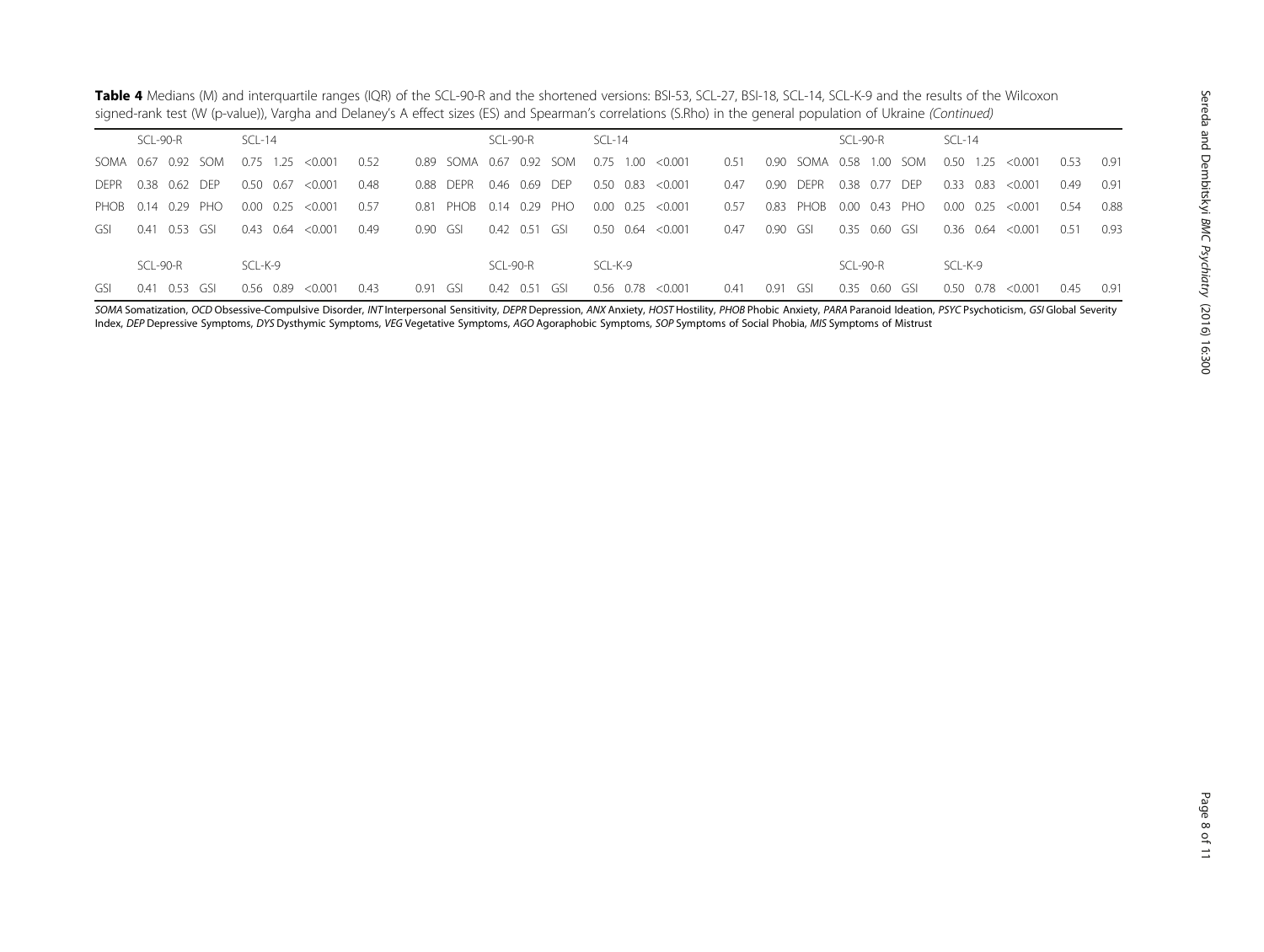| <b>Table 4</b> Medians (M) and interguartile ranges (IQR) of the SCL-90-R and the shortened versions: BSI-53, SCL-27, BSI-18, SCL-14, SCL-K-9 and the results of the Wilcoxon |  |
|-------------------------------------------------------------------------------------------------------------------------------------------------------------------------------|--|
| signed-rank test (W (p-value)), Vargha and Delaney's A effect sizes (ES) and Spearman's correlations (S.Rho) in the general population of Ukraine (Continued)                 |  |

|             | SCL-90-R              | SCL-14                                           | SCL-90-R             | $SCL-14$                                                          | SCL-90-R              | $SCL-14$                                       |
|-------------|-----------------------|--------------------------------------------------|----------------------|-------------------------------------------------------------------|-----------------------|------------------------------------------------|
| SOMA 0.67   | 0.92 SOM              | soma<br>$0.75$ 1.25<br>< 0.001<br>0.52<br>0.89   | 0.67 0.92 SOM        | < 0.001<br>0.51<br>0.90 <sub>1</sub><br>SOMA 0.58<br>0.75<br>1.00 | <b>SOM</b><br>1.00    | 1.25<br>0.50<br>0.53<br>0.91<br>< 0.001        |
| <b>DEPR</b> | 0.38  0.62  DEP       | 0.50 0.67<br>< 0.001<br>0.48<br>0.88 DFPR        | 0.46 0.69 DEP        | 0.47<br>0.90 <sub>1</sub><br>0.50 0.83<br>< 0.001<br><b>DEPR</b>  | 0.38<br>0.77 DEP      | 0.33<br>0.91<br>0.83<br>0.49<br>< 0.001        |
|             | PHOB 0.14 0.29 PHO    | 0.00 0.25<br>< 0.001<br>0.57<br>0.81 PHOB        | 0.14 0.29<br>PHO     | 0.57<br>0.00 0.25<br>< 0.001<br>0.83 PHOB                         | 0.00 0.43 PHO         | $0.00 \quad 0.25 \quad <0.001$<br>0.88<br>0.54 |
| GSL.        | 0.53 GSI<br>0.41      | 0.64<br>< 0.001<br>0.43<br>0.49<br>0.90<br>- GSI | 0.42 0.51<br>- GSI   | 0.90<br>< 0.001<br>0.47<br>0.50 0.64<br>- GSI                     | 0.35<br>0.60<br>- GSI | 0.36 0.64<br>0.93<br>0.51<br>< 0.001           |
|             |                       |                                                  |                      |                                                                   |                       |                                                |
|             | SCL-90-R              | SCL-K-9                                          | SCL-90-R             | SCL-K-9                                                           | SCL-90-R              | SCL-K-9                                        |
| GSL.        | 0.53<br>0.41<br>- GSI | 0.56 0.89<br>0.43<br>0.91<br>< 0.001<br>GSI      | 0.42<br>0.51<br>GSI. | 0.91<br>< 0.001<br>0.56 0.78<br>0.41<br>-GSI                      | 0.35<br>0.60<br>GSI.  | 0.91<br>< 0.001<br>0.45<br>0.50<br>0.78        |

SOMA Somatization, OCD Obsessive-Compulsive Disorder, INT Interpersonal Sensitivity, DEPR Depression, ANX Anxiety, HOST Hostility, PHOB Phobic Anxiety, PARA Paranoid Ideation, PSYC Psychoticism, GSI Global Severity Index, DEP Depressive Symptoms, DYS Dysthymic Symptoms, VEG Vegetative Symptoms, AGO Agoraphobic Symptoms, SOP Symptoms of Social Phobia, MIS Symptoms of Mistrust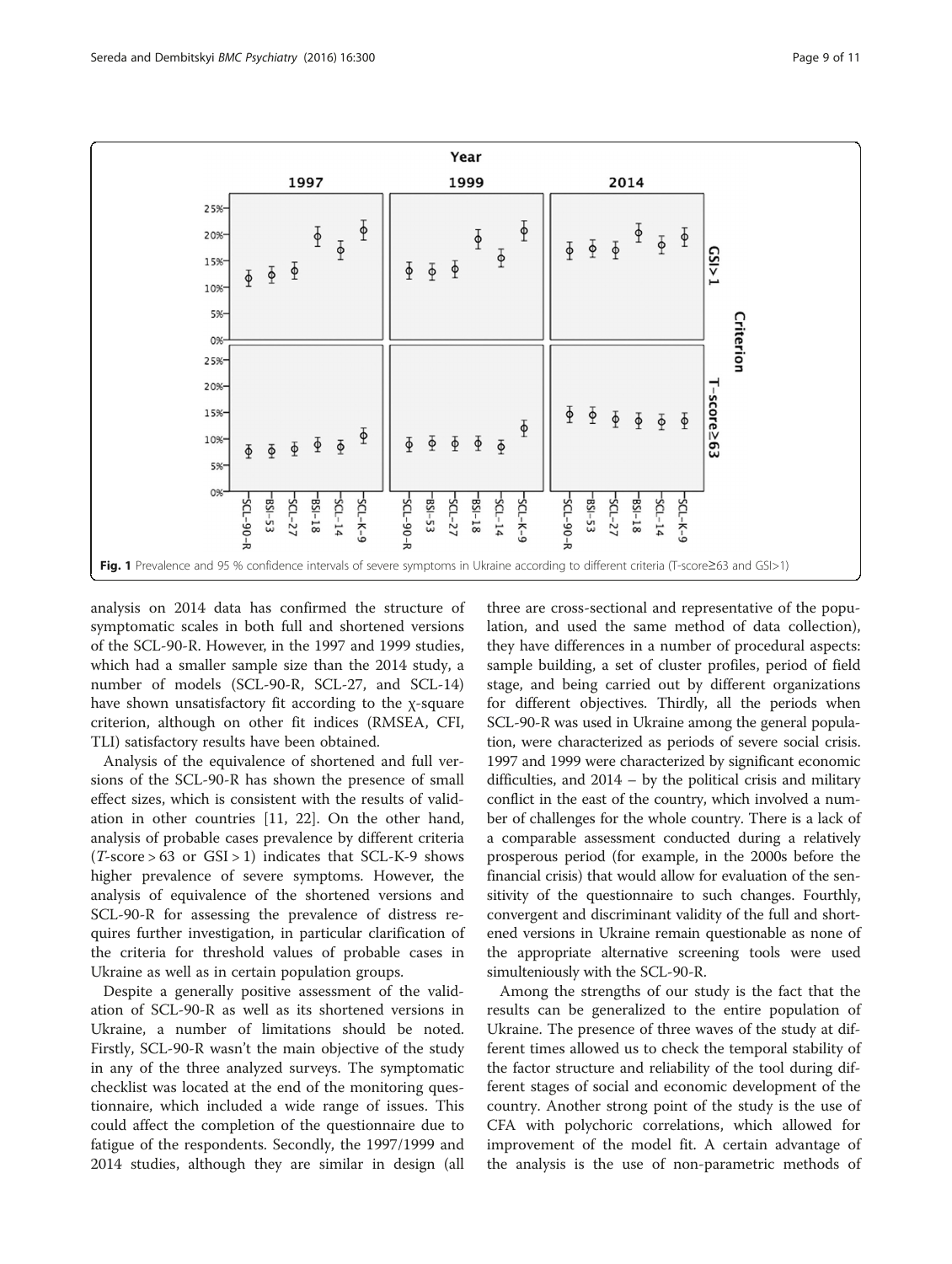<span id="page-8-0"></span>

analysis on 2014 data has confirmed the structure of symptomatic scales in both full and shortened versions of the SCL-90-R. However, in the 1997 and 1999 studies, which had a smaller sample size than the 2014 study, a number of models (SCL-90-R, SCL-27, and SCL-14) have shown unsatisfactory fit according to the χ-square criterion, although on other fit indices (RMSEA, CFI, TLI) satisfactory results have been obtained.

Analysis of the equivalence of shortened and full versions of the SCL-90-R has shown the presence of small effect sizes, which is consistent with the results of validation in other countries [\[11, 22\]](#page-10-0). On the other hand, analysis of probable cases prevalence by different criteria  $(T-score > 63$  or  $GSI > 1)$  indicates that SCL-K-9 shows higher prevalence of severe symptoms. However, the analysis of equivalence of the shortened versions and SCL-90-R for assessing the prevalence of distress requires further investigation, in particular clarification of the criteria for threshold values of probable cases in Ukraine as well as in certain population groups.

Despite a generally positive assessment of the validation of SCL-90-R as well as its shortened versions in Ukraine, a number of limitations should be noted. Firstly, SCL-90-R wasn't the main objective of the study in any of the three analyzed surveys. The symptomatic checklist was located at the end of the monitoring questionnaire, which included a wide range of issues. This could affect the completion of the questionnaire due to fatigue of the respondents. Secondly, the 1997/1999 and 2014 studies, although they are similar in design (all

three are cross-sectional and representative of the population, and used the same method of data collection), they have differences in a number of procedural aspects: sample building, a set of cluster profiles, period of field stage, and being carried out by different organizations for different objectives. Thirdly, all the periods when SCL-90-R was used in Ukraine among the general population, were characterized as periods of severe social crisis. 1997 and 1999 were characterized by significant economic difficulties, and 2014 – by the political crisis and military conflict in the east of the country, which involved a number of challenges for the whole country. There is a lack of a comparable assessment conducted during a relatively prosperous period (for example, in the 2000s before the financial crisis) that would allow for evaluation of the sensitivity of the questionnaire to such changes. Fourthly, convergent and discriminant validity of the full and shortened versions in Ukraine remain questionable as none of the appropriate alternative screening tools were used simulteniously with the SCL-90-R.

Among the strengths of our study is the fact that the results can be generalized to the entire population of Ukraine. The presence of three waves of the study at different times allowed us to check the temporal stability of the factor structure and reliability of the tool during different stages of social and economic development of the country. Another strong point of the study is the use of CFA with polychoric correlations, which allowed for improvement of the model fit. A certain advantage of the analysis is the use of non-parametric methods of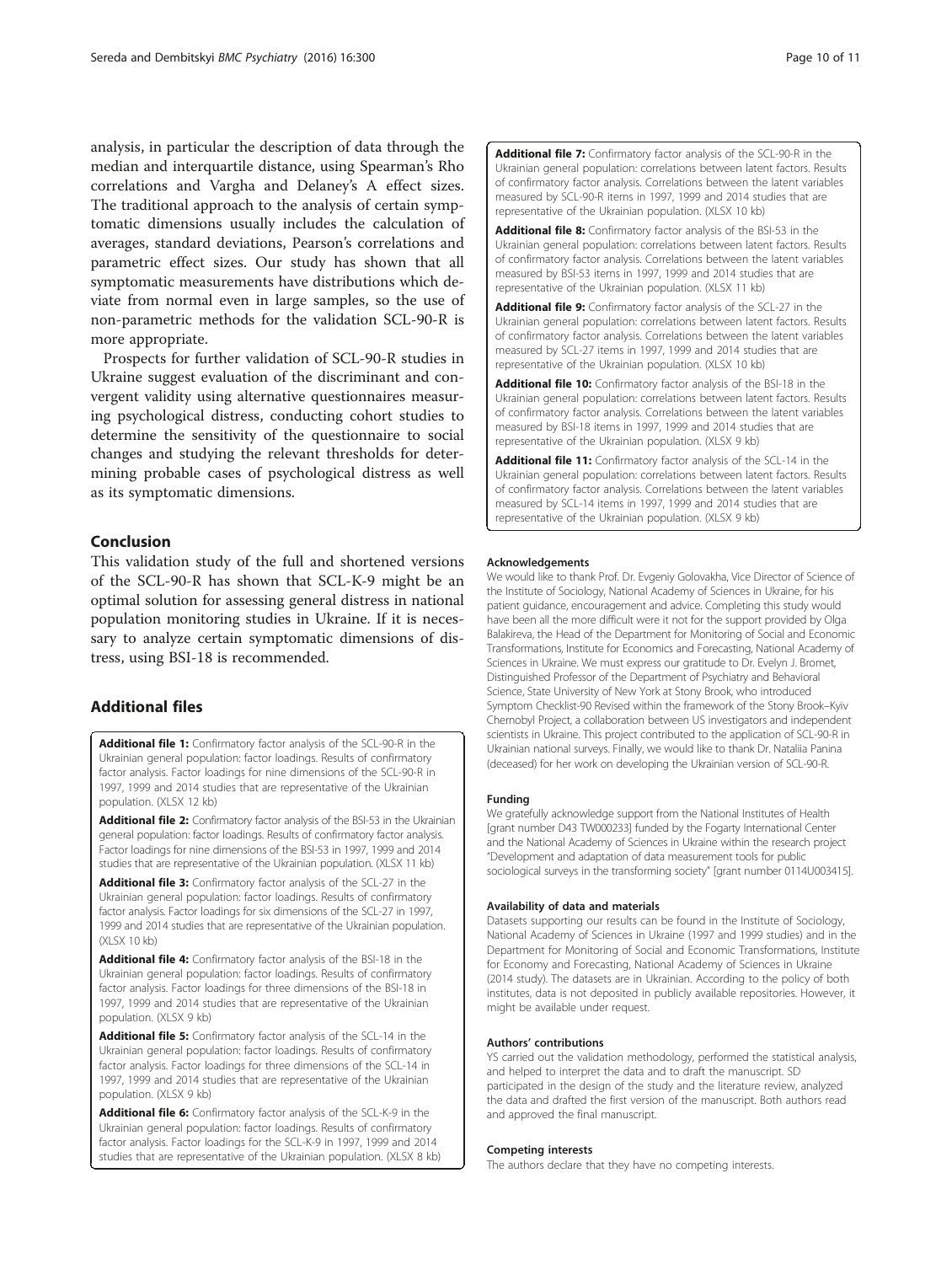<span id="page-9-0"></span>analysis, in particular the description of data through the median and interquartile distance, using Spearman's Rho correlations and Vargha and Delaney's A effect sizes. The traditional approach to the analysis of certain symptomatic dimensions usually includes the calculation of averages, standard deviations, Pearson's correlations and parametric effect sizes. Our study has shown that all symptomatic measurements have distributions which deviate from normal even in large samples, so the use of non-parametric methods for the validation SCL-90-R is more appropriate.

Prospects for further validation of SCL-90-R studies in Ukraine suggest evaluation of the discriminant and convergent validity using alternative questionnaires measuring psychological distress, conducting cohort studies to determine the sensitivity of the questionnaire to social changes and studying the relevant thresholds for determining probable cases of psychological distress as well as its symptomatic dimensions.

# Conclusion

This validation study of the full and shortened versions of the SCL-90-R has shown that SCL-K-9 might be an optimal solution for assessing general distress in national population monitoring studies in Ukraine. If it is necessary to analyze certain symptomatic dimensions of distress, using BSI-18 is recommended.

# Additional files

[Additional file 1:](dx.doi.org/10.1186/s12888-016-1014-3) Confirmatory factor analysis of the SCL-90-R in the Ukrainian general population: factor loadings. Results of confirmatory factor analysis. Factor loadings for nine dimensions of the SCL-90-R in 1997, 1999 and 2014 studies that are representative of the Ukrainian population. (XLSX 12 kb)

[Additional file 2:](dx.doi.org/10.1186/s12888-016-1014-3) Confirmatory factor analysis of the BSI-53 in the Ukrainian general population: factor loadings. Results of confirmatory factor analysis. Factor loadings for nine dimensions of the BSI-53 in 1997, 1999 and 2014 studies that are representative of the Ukrainian population. (XLSX 11 kb)

[Additional file 3:](dx.doi.org/10.1186/s12888-016-1014-3) Confirmatory factor analysis of the SCL-27 in the Ukrainian general population: factor loadings. Results of confirmatory factor analysis. Factor loadings for six dimensions of the SCL-27 in 1997, 1999 and 2014 studies that are representative of the Ukrainian population. (XLSX 10 kb)

[Additional file 4:](dx.doi.org/10.1186/s12888-016-1014-3) Confirmatory factor analysis of the BSI-18 in the Ukrainian general population: factor loadings. Results of confirmatory factor analysis. Factor loadings for three dimensions of the BSI-18 in 1997, 1999 and 2014 studies that are representative of the Ukrainian population. (XLSX 9 kb)

[Additional file 5:](dx.doi.org/10.1186/s12888-016-1014-3) Confirmatory factor analysis of the SCL-14 in the Ukrainian general population: factor loadings. Results of confirmatory factor analysis. Factor loadings for three dimensions of the SCL-14 in 1997, 1999 and 2014 studies that are representative of the Ukrainian population. (XLSX 9 kb)

[Additional file 6:](dx.doi.org/10.1186/s12888-016-1014-3) Confirmatory factor analysis of the SCL-K-9 in the Ukrainian general population: factor loadings. Results of confirmatory factor analysis. Factor loadings for the SCL-K-9 in 1997, 1999 and 2014 studies that are representative of the Ukrainian population. (XLSX 8 kb) [Additional file 7:](dx.doi.org/10.1186/s12888-016-1014-3) Confirmatory factor analysis of the SCL-90-R in the Ukrainian general population: correlations between latent factors. Results of confirmatory factor analysis. Correlations between the latent variables measured by SCL-90-R items in 1997, 1999 and 2014 studies that are representative of the Ukrainian population. (XLSX 10 kb)

[Additional file 8:](dx.doi.org/10.1186/s12888-016-1014-3) Confirmatory factor analysis of the BSI-53 in the Ukrainian general population: correlations between latent factors. Results of confirmatory factor analysis. Correlations between the latent variables measured by BSI-53 items in 1997, 1999 and 2014 studies that are representative of the Ukrainian population. (XLSX 11 kb)

[Additional file 9:](dx.doi.org/10.1186/s12888-016-1014-3) Confirmatory factor analysis of the SCL-27 in the Ukrainian general population: correlations between latent factors. Results of confirmatory factor analysis. Correlations between the latent variables measured by SCL-27 items in 1997, 1999 and 2014 studies that are representative of the Ukrainian population. (XLSX 10 kb)

[Additional file 10:](dx.doi.org/10.1186/s12888-016-1014-3) Confirmatory factor analysis of the BSI-18 in the Ukrainian general population: correlations between latent factors. Results of confirmatory factor analysis. Correlations between the latent variables measured by BSI-18 items in 1997, 1999 and 2014 studies that are representative of the Ukrainian population. (XLSX 9 kb)

[Additional file 11:](dx.doi.org/10.1186/s12888-016-1014-3) Confirmatory factor analysis of the SCL-14 in the Ukrainian general population: correlations between latent factors. Results of confirmatory factor analysis. Correlations between the latent variables measured by SCL-14 items in 1997, 1999 and 2014 studies that are representative of the Ukrainian population. (XLSX 9 kb)

#### Acknowledgements

We would like to thank Prof. Dr. Evgeniy Golovakha, Vice Director of Science of the Institute of Sociology, National Academy of Sciences in Ukraine, for his patient guidance, encouragement and advice. Completing this study would have been all the more difficult were it not for the support provided by Olga Balakireva, the Head of the Department for Monitoring of Social and Economic Transformations, Institute for Economics and Forecasting, National Academy of Sciences in Ukraine. We must express our gratitude to Dr. Evelyn J. Bromet, Distinguished Professor of the Department of Psychiatry and Behavioral Science, State University of New York at Stony Brook, who introduced Symptom Checklist-90 Revised within the framework of the Stony Brook–Kyiv Chernobyl Project, a collaboration between US investigators and independent scientists in Ukraine. This project contributed to the application of SCL-90-R in Ukrainian national surveys. Finally, we would like to thank Dr. Nataliia Panina (deceased) for her work on developing the Ukrainian version of SCL-90-R.

# Funding

We gratefully acknowledge support from the National Institutes of Health [grant number D43 TW000233] funded by the Fogarty International Center and the National Academy of Sciences in Ukraine within the research project "Development and adaptation of data measurement tools for public sociological surveys in the transforming society" [grant number 0114U003415].

# Availability of data and materials

Datasets supporting our results can be found in the Institute of Sociology, National Academy of Sciences in Ukraine (1997 and 1999 studies) and in the Department for Monitoring of Social and Economic Transformations, Institute for Economy and Forecasting, National Academy of Sciences in Ukraine (2014 study). The datasets are in Ukrainian. According to the policy of both institutes, data is not deposited in publicly available repositories. However, it might be available under request.

#### Authors' contributions

YS carried out the validation methodology, performed the statistical analysis, and helped to interpret the data and to draft the manuscript. SD participated in the design of the study and the literature review, analyzed the data and drafted the first version of the manuscript. Both authors read and approved the final manuscript.

#### Competing interests

The authors declare that they have no competing interests.